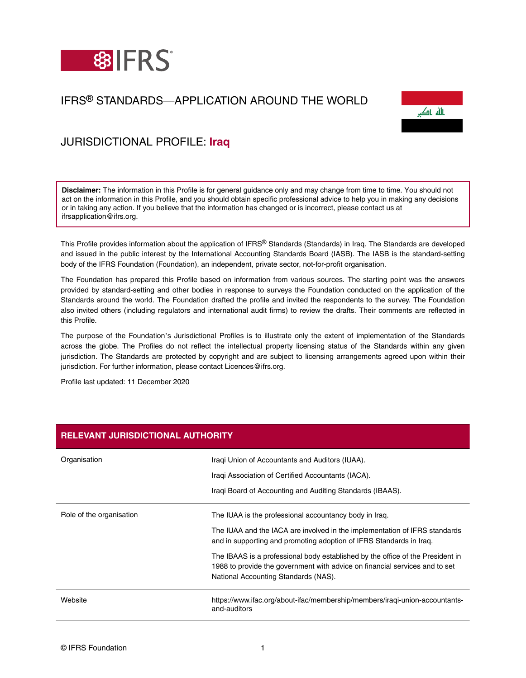

# IFRS® STANDARDS—APPLICATION AROUND THE WORLD



## JURISDICTIONAL PROFILE: **Iraq**

**Disclaimer:** The information in this Profile is for general guidance only and may change from time to time. You should not act on the information in this Profile, and you should obtain specific professional advice to help you in making any decisions or in taking any action. If you believe that the information has changed or is incorrect, please contact us at ifrsapplication@ifrs.org.

This Profile provides information about the application of IFRS® Standards (Standards) in Iraq. The Standards are developed and issued in the public interest by the International Accounting Standards Board (IASB). The IASB is the standard-setting body of the IFRS Foundation (Foundation), an independent, private sector, not-for-profit organisation.

The Foundation has prepared this Profile based on information from various sources. The starting point was the answers provided by standard-setting and other bodies in response to surveys the Foundation conducted on the application of the Standards around the world. The Foundation drafted the profile and invited the respondents to the survey. The Foundation also invited others (including regulators and international audit firms) to review the drafts. Their comments are reflected in this Profile.

The purpose of the Foundation's Jurisdictional Profiles is to illustrate only the extent of implementation of the Standards across the globe. The Profiles do not reflect the intellectual property licensing status of the Standards within any given jurisdiction. The Standards are protected by copyright and are subject to licensing arrangements agreed upon within their jurisdiction. For further information, please contact Licences@ifrs.org.

Profile last updated: 11 December 2020

| <b>RELEVANT JURISDICTIONAL AUTHORITY</b> |                                                                                                                                                                                                       |  |
|------------------------------------------|-------------------------------------------------------------------------------------------------------------------------------------------------------------------------------------------------------|--|
| Organisation                             | Iragi Union of Accountants and Auditors (IUAA).                                                                                                                                                       |  |
|                                          | Iragi Association of Certified Accountants (IACA).                                                                                                                                                    |  |
|                                          | Iragi Board of Accounting and Auditing Standards (IBAAS).                                                                                                                                             |  |
| Role of the organisation                 | The IUAA is the professional accountancy body in Irag.                                                                                                                                                |  |
|                                          | The IUAA and the IACA are involved in the implementation of IFRS standards<br>and in supporting and promoting adoption of IFRS Standards in Irag.                                                     |  |
|                                          | The IBAAS is a professional body established by the office of the President in<br>1988 to provide the government with advice on financial services and to set<br>National Accounting Standards (NAS). |  |
| Website                                  | https://www.ifac.org/about-ifac/membership/members/iragi-union-accountants-<br>and-auditors                                                                                                           |  |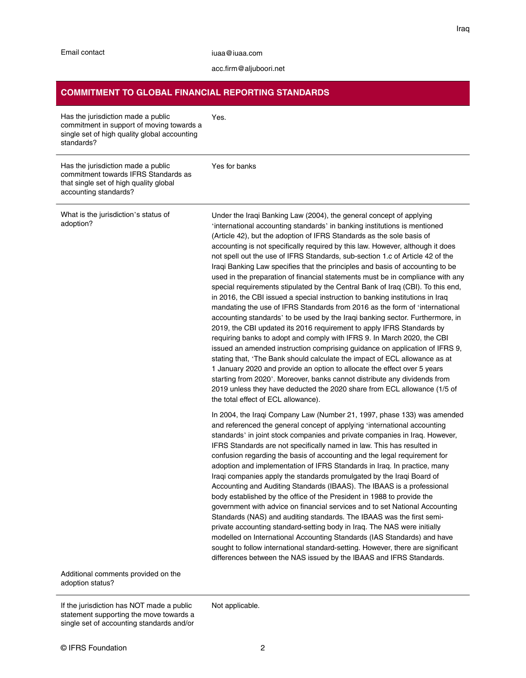#### [acc.firm@aljuboori.net](mailto:acc.firm@aljuboori.net)

#### **COMMITMENT TO GLOBAL FINANCIAL REPORTING STANDARDS**

| Has the jurisdiction made a public<br>commitment in support of moving towards a<br>single set of high quality global accounting<br>standards? | Yes.                                                                                                                                                                                                                                                                                                                                                                                                                                                                                                                                                                                                                                                                                                                                                                                                                                                                                                                                                                                                                                                                                                                                                                                                                                                                                                                                                                                                                                                                                             |
|-----------------------------------------------------------------------------------------------------------------------------------------------|--------------------------------------------------------------------------------------------------------------------------------------------------------------------------------------------------------------------------------------------------------------------------------------------------------------------------------------------------------------------------------------------------------------------------------------------------------------------------------------------------------------------------------------------------------------------------------------------------------------------------------------------------------------------------------------------------------------------------------------------------------------------------------------------------------------------------------------------------------------------------------------------------------------------------------------------------------------------------------------------------------------------------------------------------------------------------------------------------------------------------------------------------------------------------------------------------------------------------------------------------------------------------------------------------------------------------------------------------------------------------------------------------------------------------------------------------------------------------------------------------|
| Has the jurisdiction made a public<br>commitment towards IFRS Standards as<br>that single set of high quality global<br>accounting standards? | Yes for banks                                                                                                                                                                                                                                                                                                                                                                                                                                                                                                                                                                                                                                                                                                                                                                                                                                                                                                                                                                                                                                                                                                                                                                                                                                                                                                                                                                                                                                                                                    |
| What is the jurisdiction's status of<br>adoption?                                                                                             | Under the Iraqi Banking Law (2004), the general concept of applying<br>'international accounting standards' in banking institutions is mentioned<br>(Article 42), but the adoption of IFRS Standards as the sole basis of<br>accounting is not specifically required by this law. However, although it does<br>not spell out the use of IFRS Standards, sub-section 1.c of Article 42 of the<br>Iraqi Banking Law specifies that the principles and basis of accounting to be<br>used in the preparation of financial statements must be in compliance with any<br>special requirements stipulated by the Central Bank of Iraq (CBI). To this end,<br>in 2016, the CBI issued a special instruction to banking institutions in Iraq<br>mandating the use of IFRS Standards from 2016 as the form of 'international<br>accounting standards' to be used by the Iraqi banking sector. Furthermore, in<br>2019, the CBI updated its 2016 requirement to apply IFRS Standards by<br>requiring banks to adopt and comply with IFRS 9. In March 2020, the CBI<br>issued an amended instruction comprising guidance on application of IFRS 9,<br>stating that, 'The Bank should calculate the impact of ECL allowance as at<br>1 January 2020 and provide an option to allocate the effect over 5 years<br>starting from 2020'. Moreover, banks cannot distribute any dividends from<br>2019 unless they have deducted the 2020 share from ECL allowance (1/5 of<br>the total effect of ECL allowance). |
|                                                                                                                                               | In 2004, the Iraqi Company Law (Number 21, 1997, phase 133) was amended<br>and referenced the general concept of applying 'international accounting<br>standards' in joint stock companies and private companies in Iraq. However,<br>IFRS Standards are not specifically named in law. This has resulted in<br>confusion regarding the basis of accounting and the legal requirement for<br>adoption and implementation of IFRS Standards in Iraq. In practice, many<br>Iraqi companies apply the standards promulgated by the Iraqi Board of<br>Accounting and Auditing Standards (IBAAS). The IBAAS is a professional<br>body established by the office of the President in 1988 to provide the<br>government with advice on financial services and to set National Accounting<br>Standards (NAS) and auditing standards. The IBAAS was the first semi-<br>private accounting standard-setting body in Iraq. The NAS were initially<br>modelled on International Accounting Standards (IAS Standards) and have<br>sought to follow international standard-setting. However, there are significant<br>differences between the NAS issued by the IBAAS and IFRS Standards.                                                                                                                                                                                                                                                                                                                      |

Additional comments provided on the adoption status?

If the jurisdiction has NOT made a public statement supporting the move towards a single set of accounting standards and/or Not applicable.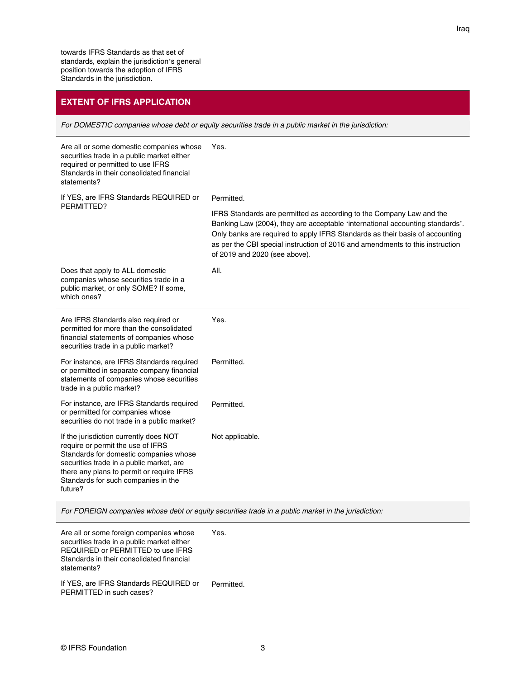### **EXTENT OF IFRS APPLICATION**

For DOMESTIC companies whose debt or equity securities trade in a public market in the jurisdiction:

| Are all or some domestic companies whose<br>securities trade in a public market either<br>required or permitted to use IFRS<br>Standards in their consolidated financial<br>statements?                                                                          | Yes.                                                                                                                                                                                                                                                                                                                                                    |
|------------------------------------------------------------------------------------------------------------------------------------------------------------------------------------------------------------------------------------------------------------------|---------------------------------------------------------------------------------------------------------------------------------------------------------------------------------------------------------------------------------------------------------------------------------------------------------------------------------------------------------|
| If YES, are IFRS Standards REQUIRED or<br>PERMITTED?                                                                                                                                                                                                             | Permitted.                                                                                                                                                                                                                                                                                                                                              |
|                                                                                                                                                                                                                                                                  | IFRS Standards are permitted as according to the Company Law and the<br>Banking Law (2004), they are acceptable 'international accounting standards'.<br>Only banks are required to apply IFRS Standards as their basis of accounting<br>as per the CBI special instruction of 2016 and amendments to this instruction<br>of 2019 and 2020 (see above). |
| Does that apply to ALL domestic<br>companies whose securities trade in a<br>public market, or only SOME? If some,<br>which ones?                                                                                                                                 | All.                                                                                                                                                                                                                                                                                                                                                    |
| Are IFRS Standards also required or<br>permitted for more than the consolidated<br>financial statements of companies whose<br>securities trade in a public market?                                                                                               | Yes.                                                                                                                                                                                                                                                                                                                                                    |
| For instance, are IFRS Standards required<br>or permitted in separate company financial<br>statements of companies whose securities<br>trade in a public market?                                                                                                 | Permitted.                                                                                                                                                                                                                                                                                                                                              |
| For instance, are IFRS Standards required<br>or permitted for companies whose<br>securities do not trade in a public market?                                                                                                                                     | Permitted.                                                                                                                                                                                                                                                                                                                                              |
| If the jurisdiction currently does NOT<br>require or permit the use of IFRS<br>Standards for domestic companies whose<br>securities trade in a public market, are<br>there any plans to permit or require IFRS<br>Standards for such companies in the<br>future? | Not applicable.                                                                                                                                                                                                                                                                                                                                         |

For FOREIGN companies whose debt or equity securities trade in a public market in the jurisdiction:

Are all or some foreign companies whose securities trade in a public market either REQUIRED or PERMITTED to use IFRS Standards in their consolidated financial statements? Yes. If YES, are IFRS Standards REQUIRED or PERMITTED in such cases? Permitted.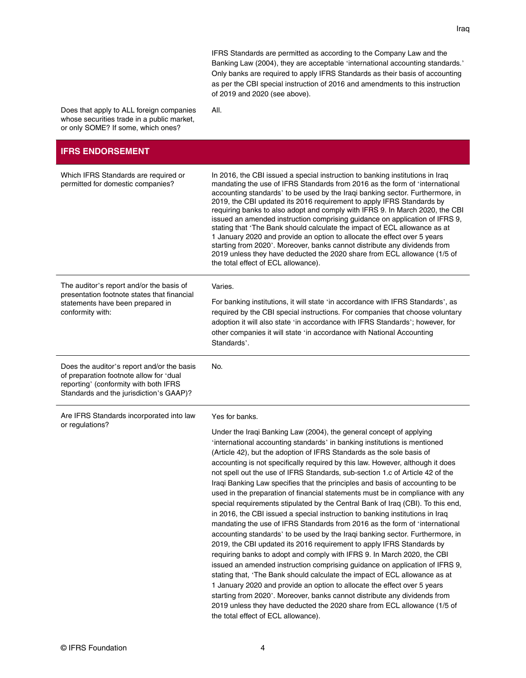Iraq

IFRS Standards are permitted as according to the Company Law and the Banking Law (2004), they are acceptable 'international accounting standards.' Only banks are required to apply IFRS Standards as their basis of accounting as per the CBI special instruction of 2016 and amendments to this instruction of 2019 and 2020 (see above).

Does that apply to ALL foreign companies whose securities trade in a public market, or only SOME? If some, which ones?

All.

#### **IFRS ENDORSEMENT**

| Which IFRS Standards are required or<br>permitted for domestic companies?                                                                                                 | In 2016, the CBI issued a special instruction to banking institutions in Iraq<br>mandating the use of IFRS Standards from 2016 as the form of 'international<br>accounting standards' to be used by the Iraqi banking sector. Furthermore, in<br>2019, the CBI updated its 2016 requirement to apply IFRS Standards by<br>requiring banks to also adopt and comply with IFRS 9. In March 2020, the CBI<br>issued an amended instruction comprising guidance on application of IFRS 9,<br>stating that 'The Bank should calculate the impact of ECL allowance as at<br>1 January 2020 and provide an option to allocate the effect over 5 years<br>starting from 2020'. Moreover, banks cannot distribute any dividends from<br>2019 unless they have deducted the 2020 share from ECL allowance (1/5 of<br>the total effect of ECL allowance).                                                                                                                                                                                                                                                                                                                                                                                                                                                                                                                                                                                                                                                                     |
|---------------------------------------------------------------------------------------------------------------------------------------------------------------------------|--------------------------------------------------------------------------------------------------------------------------------------------------------------------------------------------------------------------------------------------------------------------------------------------------------------------------------------------------------------------------------------------------------------------------------------------------------------------------------------------------------------------------------------------------------------------------------------------------------------------------------------------------------------------------------------------------------------------------------------------------------------------------------------------------------------------------------------------------------------------------------------------------------------------------------------------------------------------------------------------------------------------------------------------------------------------------------------------------------------------------------------------------------------------------------------------------------------------------------------------------------------------------------------------------------------------------------------------------------------------------------------------------------------------------------------------------------------------------------------------------------------------|
| The auditor's report and/or the basis of<br>presentation footnote states that financial<br>statements have been prepared in<br>conformity with:                           | Varies.<br>For banking institutions, it will state 'in accordance with IFRS Standards', as<br>required by the CBI special instructions. For companies that choose voluntary<br>adoption it will also state 'in accordance with IFRS Standards'; however, for<br>other companies it will state 'in accordance with National Accounting<br>Standards'.                                                                                                                                                                                                                                                                                                                                                                                                                                                                                                                                                                                                                                                                                                                                                                                                                                                                                                                                                                                                                                                                                                                                                               |
| Does the auditor's report and/or the basis<br>of preparation footnote allow for 'dual<br>reporting' (conformity with both IFRS<br>Standards and the jurisdiction's GAAP)? | No.                                                                                                                                                                                                                                                                                                                                                                                                                                                                                                                                                                                                                                                                                                                                                                                                                                                                                                                                                                                                                                                                                                                                                                                                                                                                                                                                                                                                                                                                                                                |
| Are IFRS Standards incorporated into law<br>or regulations?                                                                                                               | Yes for banks.<br>Under the Iraqi Banking Law (2004), the general concept of applying<br>'international accounting standards' in banking institutions is mentioned<br>(Article 42), but the adoption of IFRS Standards as the sole basis of<br>accounting is not specifically required by this law. However, although it does<br>not spell out the use of IFRS Standards, sub-section 1.c of Article 42 of the<br>Iraqi Banking Law specifies that the principles and basis of accounting to be<br>used in the preparation of financial statements must be in compliance with any<br>special requirements stipulated by the Central Bank of Iraq (CBI). To this end,<br>in 2016, the CBI issued a special instruction to banking institutions in Iraq<br>mandating the use of IFRS Standards from 2016 as the form of 'international<br>accounting standards' to be used by the Iraqi banking sector. Furthermore, in<br>2019, the CBI updated its 2016 requirement to apply IFRS Standards by<br>requiring banks to adopt and comply with IFRS 9. In March 2020, the CBI<br>issued an amended instruction comprising guidance on application of IFRS 9,<br>stating that, 'The Bank should calculate the impact of ECL allowance as at<br>1 January 2020 and provide an option to allocate the effect over 5 years<br>starting from 2020'. Moreover, banks cannot distribute any dividends from<br>2019 unless they have deducted the 2020 share from ECL allowance (1/5 of<br>the total effect of ECL allowance). |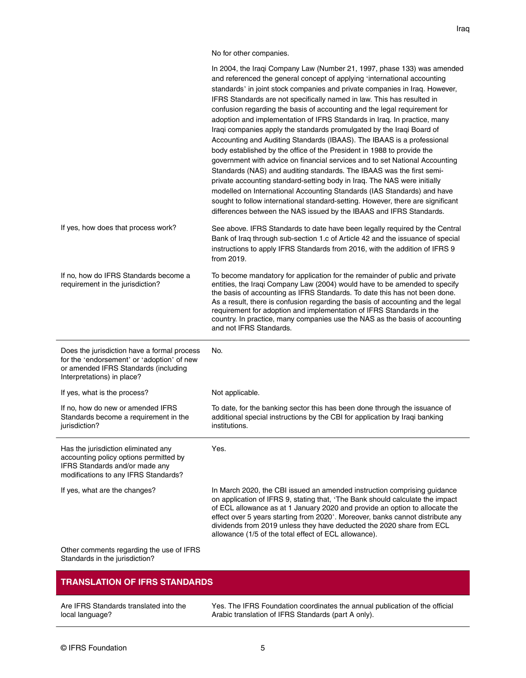Iraq

No for other companies.

|                                                                                                                                                                 | In 2004, the Iraqi Company Law (Number 21, 1997, phase 133) was amended<br>and referenced the general concept of applying 'international accounting<br>standards' in joint stock companies and private companies in Iraq. However,<br>IFRS Standards are not specifically named in law. This has resulted in<br>confusion regarding the basis of accounting and the legal requirement for<br>adoption and implementation of IFRS Standards in Iraq. In practice, many<br>Iraqi companies apply the standards promulgated by the Iraqi Board of<br>Accounting and Auditing Standards (IBAAS). The IBAAS is a professional<br>body established by the office of the President in 1988 to provide the<br>government with advice on financial services and to set National Accounting<br>Standards (NAS) and auditing standards. The IBAAS was the first semi-<br>private accounting standard-setting body in Iraq. The NAS were initially<br>modelled on International Accounting Standards (IAS Standards) and have<br>sought to follow international standard-setting. However, there are significant<br>differences between the NAS issued by the IBAAS and IFRS Standards. |
|-----------------------------------------------------------------------------------------------------------------------------------------------------------------|-----------------------------------------------------------------------------------------------------------------------------------------------------------------------------------------------------------------------------------------------------------------------------------------------------------------------------------------------------------------------------------------------------------------------------------------------------------------------------------------------------------------------------------------------------------------------------------------------------------------------------------------------------------------------------------------------------------------------------------------------------------------------------------------------------------------------------------------------------------------------------------------------------------------------------------------------------------------------------------------------------------------------------------------------------------------------------------------------------------------------------------------------------------------------------|
| If yes, how does that process work?                                                                                                                             | See above. IFRS Standards to date have been legally required by the Central<br>Bank of Iraq through sub-section 1.c of Article 42 and the issuance of special<br>instructions to apply IFRS Standards from 2016, with the addition of IFRS 9<br>from 2019.                                                                                                                                                                                                                                                                                                                                                                                                                                                                                                                                                                                                                                                                                                                                                                                                                                                                                                                  |
| If no, how do IFRS Standards become a<br>requirement in the jurisdiction?                                                                                       | To become mandatory for application for the remainder of public and private<br>entities, the Iraqi Company Law (2004) would have to be amended to specify<br>the basis of accounting as IFRS Standards. To date this has not been done.<br>As a result, there is confusion regarding the basis of accounting and the legal<br>requirement for adoption and implementation of IFRS Standards in the<br>country. In practice, many companies use the NAS as the basis of accounting<br>and not IFRS Standards.                                                                                                                                                                                                                                                                                                                                                                                                                                                                                                                                                                                                                                                                |
| Does the jurisdiction have a formal process<br>for the 'endorsement' or 'adoption' of new<br>or amended IFRS Standards (including<br>Interpretations) in place? | No.                                                                                                                                                                                                                                                                                                                                                                                                                                                                                                                                                                                                                                                                                                                                                                                                                                                                                                                                                                                                                                                                                                                                                                         |
| If yes, what is the process?                                                                                                                                    | Not applicable.                                                                                                                                                                                                                                                                                                                                                                                                                                                                                                                                                                                                                                                                                                                                                                                                                                                                                                                                                                                                                                                                                                                                                             |
| If no, how do new or amended IFRS<br>Standards become a requirement in the<br>jurisdiction?                                                                     | To date, for the banking sector this has been done through the issuance of<br>additional special instructions by the CBI for application by Iraqi banking<br>institutions.                                                                                                                                                                                                                                                                                                                                                                                                                                                                                                                                                                                                                                                                                                                                                                                                                                                                                                                                                                                                  |
| Has the jurisdiction eliminated any<br>accounting policy options permitted by<br>IFRS Standards and/or made any<br>modifications to any IFRS Standards?         | Yes.                                                                                                                                                                                                                                                                                                                                                                                                                                                                                                                                                                                                                                                                                                                                                                                                                                                                                                                                                                                                                                                                                                                                                                        |
| If yes, what are the changes?                                                                                                                                   | In March 2020, the CBI issued an amended instruction comprising guidance<br>on application of IFRS 9, stating that, 'The Bank should calculate the impact<br>of ECL allowance as at 1 January 2020 and provide an option to allocate the<br>effect over 5 years starting from 2020'. Moreover, banks cannot distribute any<br>dividends from 2019 unless they have deducted the 2020 share from ECL<br>allowance (1/5 of the total effect of ECL allowance).                                                                                                                                                                                                                                                                                                                                                                                                                                                                                                                                                                                                                                                                                                                |
| Other comments regarding the use of IFRS<br>Standards in the jurisdiction?                                                                                      |                                                                                                                                                                                                                                                                                                                                                                                                                                                                                                                                                                                                                                                                                                                                                                                                                                                                                                                                                                                                                                                                                                                                                                             |

## **TRANSLATION OF IFRS STANDARDS**

Are IFRS Standards translated into the local language?

Yes. The IFRS Foundation coordinates the annual publication of the official Arabic translation of IFRS Standards (part A only).